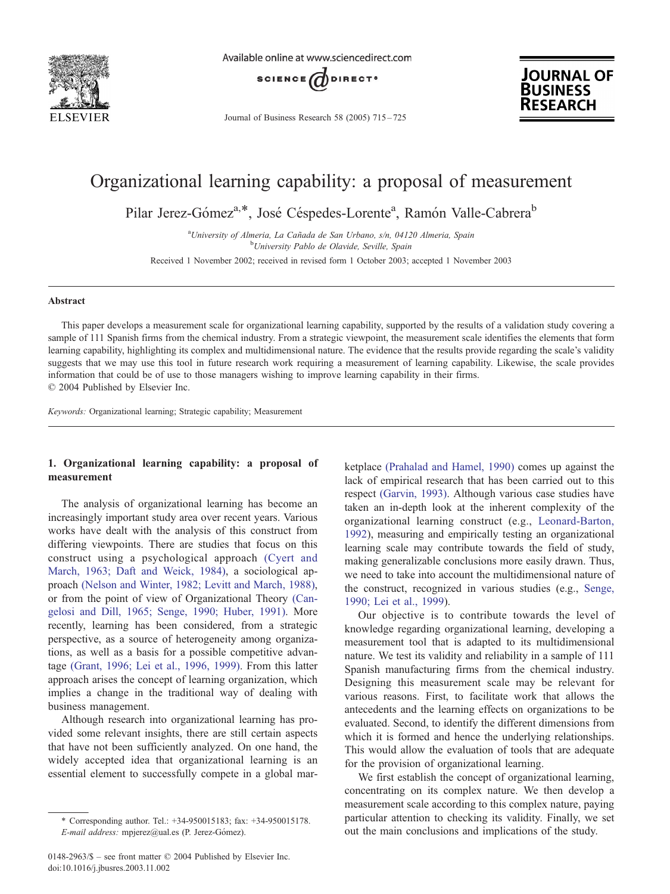

Available online at www.sciencedirect.com



Journal of Business Research 58 (2005) 715 – 725



# Organizational learning capability: a proposal of measurement

Pilar Jerez-Gómez<sup>a,\*</sup>, José Céspedes-Lorente<sup>a</sup>, Ramón Valle-Cabrera<sup>b</sup>

<sup>a</sup>University of Almeria, La Cañada de San Urbano, s/n, 04120 Almeria, Spain<br><sup>b</sup>University Pablo de Olavide, Spaille, Spain <sup>b</sup>University Pablo de Olavide, Seville, Spain

Received 1 November 2002; received in revised form 1 October 2003; accepted 1 November 2003

#### Abstract

This paper develops a measurement scale for organizational learning capability, supported by the results of a validation study covering a sample of 111 Spanish firms from the chemical industry. From a strategic viewpoint, the measurement scale identifies the elements that form learning capability, highlighting its complex and multidimensional nature. The evidence that the results provide regarding the scale's validity suggests that we may use this tool in future research work requiring a measurement of learning capability. Likewise, the scale provides information that could be of use to those managers wishing to improve learning capability in their firms.  $© 2004$  Published by Elsevier Inc.

Keywords: Organizational learning; Strategic capability; Measurement

### 1. Organizational learning capability: a proposal of measurement

The analysis of organizational learning has become an increasingly important study area over recent years. Various works have dealt with the analysis of this construct from differing viewpoints. There are studies that focus on this construct using a psychological approach [\(Cyert and](#page--1-0) March, 1963; Daft and Weick, 1984), a sociological approach [\(Nelson and Winter, 1982; Levitt and March, 1988\),](#page--1-0) or from the point of view of Organizational Theory [\(Can](#page--1-0)gelosi and Dill, 1965; Senge, 1990; Huber, 1991). More recently, learning has been considered, from a strategic perspective, as a source of heterogeneity among organizations, as well as a basis for a possible competitive advantage [\(Grant, 1996; Lei et al., 1996, 1999\).](#page--1-0) From this latter approach arises the concept of learning organization, which implies a change in the traditional way of dealing with business management.

Although research into organizational learning has provided some relevant insights, there are still certain aspects that have not been sufficiently analyzed. On one hand, the widely accepted idea that organizational learning is an essential element to successfully compete in a global mar-

ketplace [\(Prahalad and Hamel, 1990\)](#page--1-0) comes up against the lack of empirical research that has been carried out to this respect [\(Garvin, 1993\).](#page--1-0) Although various case studies have taken an in-depth look at the inherent complexity of the organizational learning construct (e.g., [Leonard-Barton,](#page--1-0) 1992), measuring and empirically testing an organizational learning scale may contribute towards the field of study, making generalizable conclusions more easily drawn. Thus, we need to take into account the multidimensional nature of the construct, recognized in various studies (e.g., [Senge,](#page--1-0) 1990; Lei et al., 1999).

Our objective is to contribute towards the level of knowledge regarding organizational learning, developing a measurement tool that is adapted to its multidimensional nature. We test its validity and reliability in a sample of 111 Spanish manufacturing firms from the chemical industry. Designing this measurement scale may be relevant for various reasons. First, to facilitate work that allows the antecedents and the learning effects on organizations to be evaluated. Second, to identify the different dimensions from which it is formed and hence the underlying relationships. This would allow the evaluation of tools that are adequate for the provision of organizational learning.

We first establish the concept of organizational learning, concentrating on its complex nature. We then develop a measurement scale according to this complex nature, paying particular attention to checking its validity. Finally, we set out the main conclusions and implications of the study.

<sup>\*</sup> Corresponding author. Tel.: +34-950015183; fax: +34-950015178. E-mail address: mpjerez@ual.es (P. Jerez-Gómez).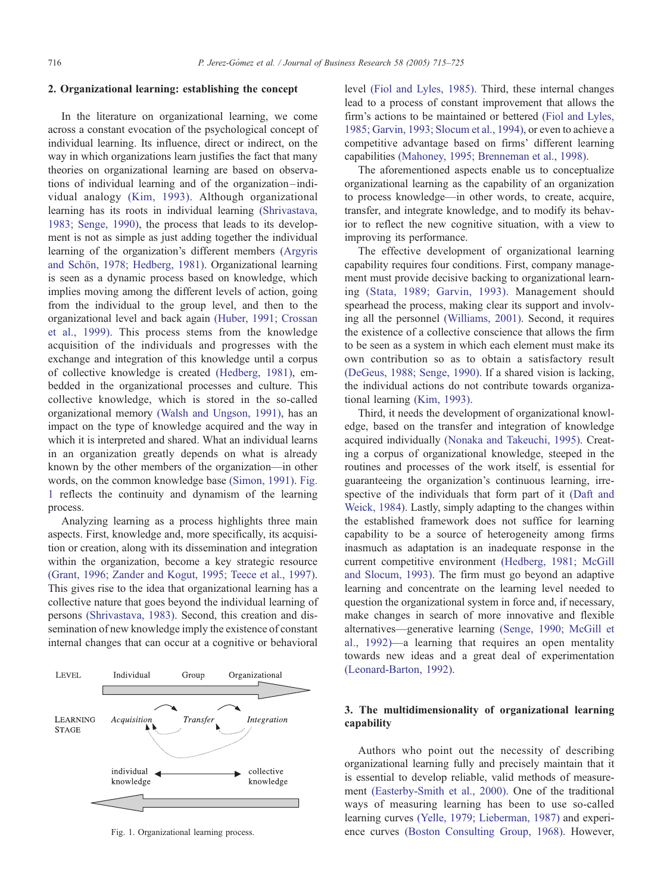#### 2. Organizational learning: establishing the concept

In the literature on organizational learning, we come across a constant evocation of the psychological concept of individual learning. Its influence, direct or indirect, on the way in which organizations learn justifies the fact that many theories on organizational learning are based on observations of individual learning and of the organization –individual analogy [\(Kim, 1993\).](#page--1-0) Although organizational learning has its roots in individual learning [\(Shrivastava,](#page--1-0) 1983; Senge, 1990), the process that leads to its development is not as simple as just adding together the individual learning of the organization's different members [\(Argyris](#page--1-0) and Schön, 1978; Hedberg, 1981). Organizational learning is seen as a dynamic process based on knowledge, which implies moving among the different levels of action, going from the individual to the group level, and then to the organizational level and back again [\(Huber, 1991; Crossan](#page--1-0) et al., 1999). This process stems from the knowledge acquisition of the individuals and progresses with the exchange and integration of this knowledge until a corpus of collective knowledge is created [\(Hedberg, 1981\),](#page--1-0) embedded in the organizational processes and culture. This collective knowledge, which is stored in the so-called organizational memory [\(Walsh and Ungson, 1991\),](#page--1-0) has an impact on the type of knowledge acquired and the way in which it is interpreted and shared. What an individual learns in an organization greatly depends on what is already known by the other members of the organization—in other words, on the common knowledge base [\(Simon, 1991\).](#page--1-0) Fig. 1 reflects the continuity and dynamism of the learning process.

Analyzing learning as a process highlights three main aspects. First, knowledge and, more specifically, its acquisition or creation, along with its dissemination and integration within the organization, become a key strategic resource [\(Grant, 1996; Zander and Kogut, 1995; Teece et al., 1997\).](#page--1-0) This gives rise to the idea that organizational learning has a collective nature that goes beyond the individual learning of persons [\(Shrivastava, 1983\).](#page--1-0) Second, this creation and dissemination of new knowledge imply the existence of constant internal changes that can occur at a cognitive or behavioral



level [\(Fiol and Lyles, 1985\).](#page--1-0) Third, these internal changes lead to a process of constant improvement that allows the firm's actions to be maintained or bettered [\(Fiol and Lyles,](#page--1-0) 1985; Garvin, 1993; Slocum et al., 1994), or even to achieve a competitive advantage based on firms' different learning capabilities [\(Mahoney, 1995; Brenneman et al., 1998\).](#page--1-0)

The aforementioned aspects enable us to conceptualize organizational learning as the capability of an organization to process knowledge—in other words, to create, acquire, transfer, and integrate knowledge, and to modify its behavior to reflect the new cognitive situation, with a view to improving its performance.

The effective development of organizational learning capability requires four conditions. First, company management must provide decisive backing to organizational learning [\(Stata, 1989; Garvin, 1993\).](#page--1-0) Management should spearhead the process, making clear its support and involving all the personnel [\(Williams, 2001\).](#page--1-0) Second, it requires the existence of a collective conscience that allows the firm to be seen as a system in which each element must make its own contribution so as to obtain a satisfactory result [\(DeGeus, 1988; Senge, 1990\).](#page--1-0) If a shared vision is lacking, the individual actions do not contribute towards organizational learning [\(Kim, 1993\).](#page--1-0)

Third, it needs the development of organizational knowledge, based on the transfer and integration of knowledge acquired individually [\(Nonaka and Takeuchi, 1995\).](#page--1-0) Creating a corpus of organizational knowledge, steeped in the routines and processes of the work itself, is essential for guaranteeing the organization's continuous learning, irrespective of the individuals that form part of it [\(Daft and](#page--1-0) Weick, 1984). Lastly, simply adapting to the changes within the established framework does not suffice for learning capability to be a source of heterogeneity among firms inasmuch as adaptation is an inadequate response in the current competitive environment [\(Hedberg, 1981; McGill](#page--1-0) and Slocum, 1993). The firm must go beyond an adaptive learning and concentrate on the learning level needed to question the organizational system in force and, if necessary, make changes in search of more innovative and flexible alternatives—generative learning [\(Senge, 1990; McGill et](#page--1-0) al., 1992)—a learning that requires an open mentality towards new ideas and a great deal of experimentation [\(Leonard-Barton, 1992\).](#page--1-0)

## 3. The multidimensionality of organizational learning capability

Authors who point out the necessity of describing organizational learning fully and precisely maintain that it is essential to develop reliable, valid methods of measurement [\(Easterby-Smith et al., 2000\).](#page--1-0) One of the traditional ways of measuring learning has been to use so-called learning curves [\(Yelle, 1979; Lieberman, 1987\)](#page--1-0) and experi-Fig. 1. Organizational learning process. ence curves [\(Boston Consulting Group, 1968\).](#page--1-0) However,